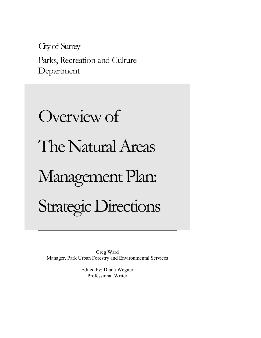City of Surrey

Parks, Recreation and Culture Department

# Overview of The Natural Areas Management Plan: Strategic Directions

Greg Ward Manager, Park Urban Forestry and Environmental Services

> Edited by: Diana Wegner Professional Writer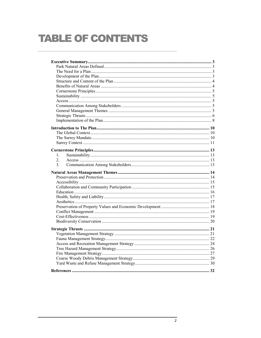# **TABLE OF CONTENTS**

| $1_{-}$          |  |
|------------------|--|
| $\overline{2}$ . |  |
| $\mathcal{E}$    |  |
|                  |  |
|                  |  |
|                  |  |
|                  |  |
|                  |  |
|                  |  |
|                  |  |
|                  |  |
|                  |  |
|                  |  |
|                  |  |
|                  |  |
|                  |  |
|                  |  |
|                  |  |
|                  |  |
|                  |  |
|                  |  |
|                  |  |
|                  |  |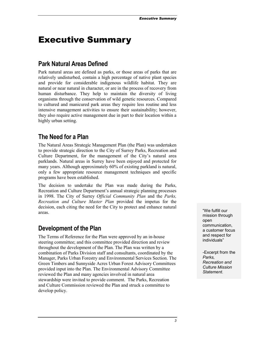# <span id="page-2-0"></span>Executive Summary

## **Park Natural Areas Defined**

Park natural areas are defined as parks, or those areas of parks that are relatively undisturbed, contain a high percentage of native plant species and provide for considerable indigenous wildlife habitat. They are natural or near natural in character, or are in the process of recovery from human disturbance. They help to maintain the diversity of living organisms through the conservation of wild genetic resources. Compared to cultured and manicured park areas they require less routine and less intensive management activities to ensure their sustainability; however, they also require active management due in part to their location within a highly urban setting.

## **The Need for a Plan**

The Natural Areas Strategic Management Plan (the Plan) was undertaken to provide strategic direction to the City of Surrey Parks, Recreation and Culture Department, for the management of the City's natural area parklands. Natural areas in Surrey have been enjoyed and protected for many years. Although approximately 60% of existing parkland is natural, only a few appropriate resource management techniques and specific programs have been established.

The decision to undertake the Plan was made during the Parks, Recreation and Culture Department's annual strategic planning processes in 1998. The City of Surrey *Official Community Plan* and the *Parks, Recreation and Culture Master Plan* provided the impetus for the decision, each citing the need for the City to protect and enhance natural areas. "We fulfill our areas.

## **Development of the Plan**

The Terms of Reference for the Plan were approved by an in-house steering committee; and this committee provided direction and review throughout the development of the Plan. The Plan was written by a combination of Parks Division staff and consultants, coordinated by the Manager, Parks Urban Forestry and Environmental Services Section. The Green Timbers and Sunnyside Acres Urban Forest Advisory Committees provided input into the Plan. The Environmental Advisory Committee reviewed the Plan and many agencies involved in natural area stewardship were invited to provide comment. The Parks, Recreation and Culture Commission reviewed the Plan and struck a committee to develop policy.

mission through open communication, a customer focus and respect for individuals"

-Excerpt from the *Parks, Recreation and Culture Mission Statement*.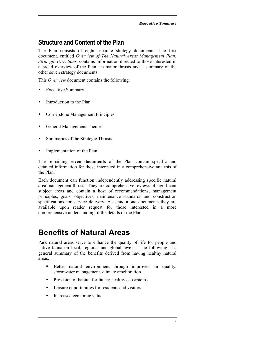## <span id="page-3-0"></span>**Structure and Content of the Plan**

The Plan consists of eight separate strategy documents. The first document, entitled *Overview of The Natural Areas Management Plan: Strategic Directions*, contains information directed to those interested in a broad overview of the Plan, its major thrusts and a summary of the other seven strategy documents.

This *Overview* document contains the following:

- -Executive Summary
- -Introduction to the Plan
- **Cornerstone Management Principles**
- **-** General Management Themes
- **Summaries of the Strategic Thrusts**
- -Implementation of the Plan

The remaining **seven documents** of the Plan contain specific and detailed information for those interested in a comprehensive analysis of the Plan.

Each document can function independently addressing specific natural area management thrusts. They are comprehensive reviews of significant subject areas and contain a host of recommendations, management principles, goals, objectives, maintenance standards and construction specifications for service delivery. As stand-alone documents they are available upon reader request for those interested in a more comprehensive understanding of the details of the Plan.

## **Benefits of Natural Areas**

Park natural areas serve to enhance the quality of life for people and native fauna on local, regional and global levels. The following is a general summary of the benefits derived from having healthy natural areas.

- - Better natural environment through improved air quality, stormwater management, climate amelioration
- Provision of habitat for fauna; healthy ecosystems
- **Exercise 1** Leisure opportunities for residents and visitors
- -Increased economic value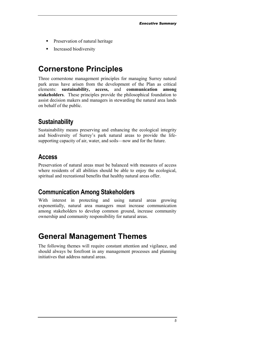- <span id="page-4-0"></span>**-** Preservation of natural heritage
- **Increased biodiversity**

# **Cornerstone Principles**

Three cornerstone management principles for managing Surrey natural park areas have arisen from the development of the Plan as critical elements: **sustainability, access,** and **communication among stakeholders**. These principles provide the philosophical foundation to assist decision makers and managers in stewarding the natural area lands on behalf of the public.

## **Sustainability**

Sustainability means preserving and enhancing the ecological integrity and biodiversity of Surrey's park natural areas to provide the lifesupporting capacity of air, water, and soils—now and for the future.

## **Access**

Preservation of natural areas must be balanced with measures of access where residents of all abilities should be able to enjoy the ecological, spiritual and recreational benefits that healthy natural areas offer.

## **Communication Among Stakeholders**

With interest in protecting and using natural areas growing exponentially, natural area managers must increase communication among stakeholders to develop common ground, increase community ownership and community responsibility for natural areas.

# **General Management Themes**

The following themes will require constant attention and vigilance, and should always be forefront in any management processes and planning initiatives that address natural areas.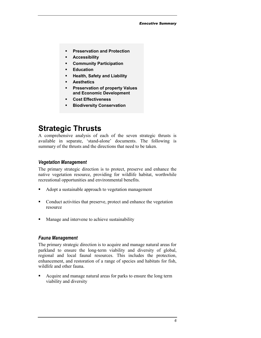- <span id="page-5-0"></span>-**Preservation and Protection**
- **Accessibility**
- **Community Participation**
- **Education**
- **Health, Safety and Liability**
- -**Aesthetics**
- - **Preservation of property Values and Economic Development**
- -**Cost Effectiveness**
- -**Biodiversity Conservation**

# **Strategic Thrusts**

A comprehensive analysis of each of the seven strategic thrusts is available in separate, 'stand-alone' documents. The following is summary of the thrusts and the directions that need to be taken.

#### *Vegetation Management*

The primary strategic direction is to protect, preserve and enhance the native vegetation resource, providing for wildlife habitat, worthwhile recreational opportunities and environmental benefits.

- -Adopt a sustainable approach to vegetation management
- - Conduct activities that preserve, protect and enhance the vegetation resource
- -Manage and intervene to achieve sustainability

## *Fauna Management*

The primary strategic direction is to acquire and manage natural areas for parkland to ensure the long-term viability and diversity of global, regional and local faunal resources. This includes the protection, enhancement, and restoration of a range of species and habitats for fish, wildlife and other fauna.

- Acquire and manage natural areas for parks to ensure the long term viability and diversity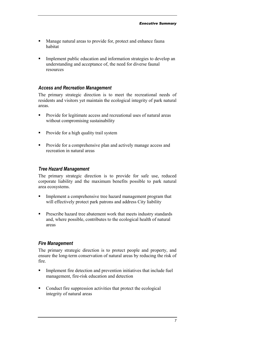- - Manage natural areas to provide for, protect and enhance fauna habitat
- **Implement public education and information strategies to develop an** understanding and acceptance of, the need for diverse faunal resources

## *Access and Recreation Management*

The primary strategic direction is to meet the recreational needs of residents and visitors yet maintain the ecological integrity of park natural areas.

- - Provide for legitimate access and recreational uses of natural areas without compromising sustainability
- Provide for a high quality trail system
- Provide for a comprehensive plan and actively manage access and recreation in natural areas

## *Tree Hazard Management*

The primary strategic direction is to provide for safe use, reduced corporate liability and the maximum benefits possible to park natural area ecosystems.

- - Implement a comprehensive tree hazard management program that will effectively protect park patrons and address City liability
- **Prescribe hazard tree abatement work that meets industry standards** and, where possible, contributes to the ecological health of natural areas

## *Fire Management*

The primary strategic direction is to protect people and property, and ensure the long-term conservation of natural areas by reducing the risk of fire.

- - Implement fire detection and prevention initiatives that include fuel management, fire-risk education and detection
- Conduct fire suppression activities that protect the ecological integrity of natural areas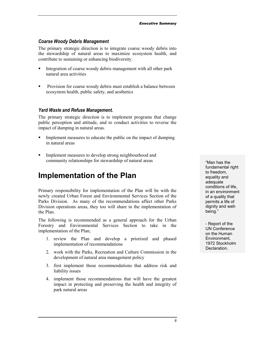#### <span id="page-7-0"></span>*Coarse Woody Debris Management*

The primary strategic direction is to integrate coarse woody debris into the stewardship of natural areas to maximize ecosystem health, and contribute to sustaining or enhancing biodiversity.

- - Integration of coarse woody debris management with all other park natural area activities
- - Provision for coarse woody debris must establish a balance between ecosystem health, public safety, and aesthetics

#### *Yard Waste and Refuse Management.*

The primary strategic direction is to implement programs that change public perception and attitude, and to conduct activities to reverse the impact of dumping in natural areas.

- - Implement measures to educate the public on the impact of dumping in natural areas
- **Implement measures to develop strong neighbourhood and** community relationships for stewardship of natural areas "Man has the

## **Implementation of the Plan**

Primary responsibility for implementation of the Plan will be with the newly created Urban Forest and Environmental Services Section of the Parks Division. As many of the recommendations affect other Parks Division operations areas, they too will share in the implementation of the Plan.

The following is recommended as a general approach for the Urban Forestry and Environmental Services Section to take in the implementation of the Plan;

- 1. review the Plan and develop a priorized and phased implementation of recommendations
- 2. work with the Parks, Recreation and Culture Commission in the development of natural area management policy
- 3. first implement those recommendations that address risk and liability issues
- 4. implement those recommendations that will have the greatest impact in protecting and preserving the health and integrity of park natural areas

fundamental right to freedom, equality and adequate conditions of life, in an environment of a quality that permits a life of dignity and wellbeing."

- Report of the UN Conference on the Human Environment, 1972 Stockholm **Declaration**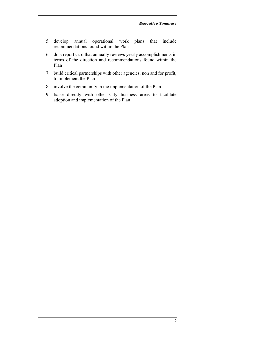- 5. develop annual operational work plans that include recommendations found within the Plan
- 6. do a report card that annually reviews yearly accomplishments in terms of the direction and recommendations found within the Plan
- 7. build critical partnerships with other agencies, non and for profit, to implement the Plan
- 8. involve the community in the implementation of the Plan.
- 9. liaise directly with other City business areas to facilitate adoption and implementation of the Plan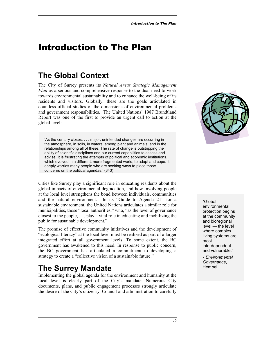# <span id="page-9-0"></span>Introduction to The Plan

# **The Global Context**

The City of Surrey presents its *Natural Areas Strategic Management Plan* as a serious and comprehensive response to the dual need to work towards environmental sustainability and to enhance the well-being of its residents and visitors. Globally, these are the goals articulated in countless official studies of the dimensions of environmental problems and government responsibilities. The United Nations' 1987 Brundtland Report was one of the first to provide an urgent call to action at the global level:

'As the century closes, . . . major, unintended changes are occurring in the atmosphere, in soils, in waters, among plant and animals, and in the relationships among all of these. The rate of change is outstripping the ability of scientific disciplines and our current capabilities to assess and advise. It is frustrating the attempts of political and economic institutions, which evolved in a different, more fragmented world, to adapt and cope. It deeply worries many people who are seeking ways to place those concerns on the political agendas.' (343)

Cities like Surrey play a significant role in educating residents about the global impacts of environmental degradation, and how involving people at the local level strengthens the bond between individuals, communities and the natural environment. In its "Guide to Agenda 21" for a sustainable environment, the United Nations articulates a similar role for municipalities, those "local authorities," who, "as the level of governance closest to the people, . . . play a vital role in educating and mobilizing the public for sustainable development."

The promise of effective community initiatives and the development of "ecological literacy" at the local level must be realized as part of a larger integrated effort at all government levels. To some extent, the BC government has awakened to this need. In response to public concern, the BC government has articulated a commitment to developing a strategy to create a "collective vision of a sustainable future."

# **The Surrey Mandate**

Implementing the global agenda for the environment and humanity at the local level is clearly part of the City's mandate. Numerous City documents, plans, and public engagement processes strongly articulate the desire of the City's citizenry, Council and administration to carefully



"Global environmental protection begins at the community and bioregional level — the level where complex living systems are most interdependent and vulnerable."

- *Environmental Governance*, Hempel.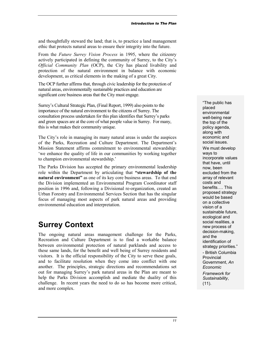<span id="page-10-0"></span>and thoughtfully steward the land; that is, to practice a land management ethic that protects natural areas to ensure their integrity into the future.

From the *Future Surrey Vision Process* in 1995, where the citizenry actively participated in defining the community of Surrey, to the City's *Official Community Plan* (OCP), the City has placed livability and protection of the natural environment in balance with economic development, as critical elements in the making of a great City.

The OCP further affirms that, through civic leadership for the protection of natural areas, environmentally sustainable practices and education are significant core business areas that the City must engage.

Surrey's Cultural Strategic Plan, (Final Report, 1999) also points to the importance of the natural environment to the citizens of Surrey. The consultation process undertaken for this plan identifies that Surrey's parks and green spaces are at the core of what people value in Surrey. For many, this is what makes their community unique.

The City's role in managing its many natural areas is under the auspices of the Parks, Recreation and Culture Department. The Department's Mission Statement affirms commitment to environmental stewardship: 'we enhance the quality of life in our communities by working together to champion environmental stewardship.'

The Parks Division has accepted the primary environmental leadership role within the Department by articulating that **"stewardship of the natural environment"** as one of its key core business areas. To that end the Division implemented an Environmental Program Coordinator staff position in 1996 and, following a Divisional re-organization, created an Urban Forestry and Environmental Services Section that has the singular focus of managing most aspects of park natural areas and providing environmental education and interpretation.

# **Surrey Context**

The ongoing natural areas management challenge for the Parks, Recreation and Culture Department is to find a workable balance between environmental protection of natural parklands and access to these same lands, for the benefit and well being of Surrey residents and visitors. It is the official responsibility of the City to serve these goals, and to facilitate resolution when they come into conflict with one another. The principles, strategic directions and recommendations set out for managing Surrey's park natural areas in the Plan are meant to help the Parks Division accomplish and mediate the duality of this challenge. In recent years the need to do so has become more critical, and more complex.

"The public has placed environmental well-being near the top of the policy agenda, along with economic and social issues. We must develop ways to incorporate values that have, until now, been excluded from the array of relevant costs and benefits…. This proposed strategy would be based on a collective vision of a sustainable future, ecological and social realities, a new process of decision-making, and the identification of strategy priorities." - British Columbia

**Provincial** Government, *An Economic Framework for Sustainability*, (11).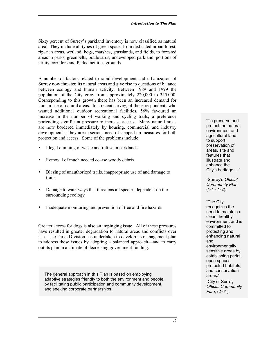Sixty percent of Surrey's parkland inventory is now classified as natural area. They include all types of green space, from dedicated urban forest, riparian areas, wetland, bogs, marshes, grasslands, and fields, to forested areas in parks, greenbelts, boulevards, undeveloped parkland, portions of utility corridors and Parks facilities grounds.

A number of factors related to rapid development and urbanization of Surrey now threaten its natural areas and give rise to questions of balance between ecology and human activity. Between 1989 and 1999 the population of the City grew from approximately 220,000 to 325,000. Corresponding to this growth there has been an increased demand for human use of natural areas. In a recent survey, of those respondents who wanted additional outdoor recreational facilities, 56% favoured an increase in the number of walking and cycling trails, a preference portending significant pressure to increase access. Many natural areas are now bordered immediately by housing, commercial and industry developments: they are in serious need of stepped-up measures for both protection and access. Some of the problems include:

- -Illegal dumping of waste and refuse in parklands
- **Removal of much needed coarse woody debris**
- Blazing of unauthorized trails, inappropriate use of and damage to trails
- - Damage to waterways that threatens all species dependent on the surrounding ecology
- -Inadequate monitoring and prevention of tree and fire hazards

Greater access for dogs is also an impinging issue. All of these pressures have resulted in greater degradation to natural areas and conflicts over use. The Parks Division has undertaken to develop its management plan to address these issues by adopting a balanced approach—and to carry out its plan in a climate of decreasing government funding.

The general approach in this Plan is based on employing adaptive strategies friendly to both the environment and people, by facilitating public participation and community development, and seeking corporate partnerships.

"To preserve and protect the natural environment and agricultural land, to support preservation of areas, site and features that illustrate and enhance the City's heritage …"

-Surrey's *Official Community Plan,*  $(1-1 - 1-2)$ .

"The City recognizes the need to maintain a clean, healthy environment and is committed to protecting and enhancing natural and environmentally sensitive areas by establishing parks, open spaces, protected habitats, and conservation areas." -City of Surrey

*Official Community Plan*, (2-61).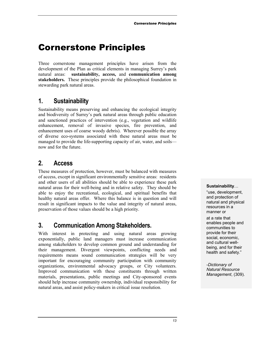# <span id="page-12-0"></span>Cornerstone Principles

Three cornerstone management principles have arisen from the development of the Plan as critical elements in managing Surrey's park natural areas: **sustainability, access,** and **communication among stakeholders.** These principles provide the philosophical foundation in stewarding park natural areas.

## **1. Sustainability**

Sustainability means preserving and enhancing the ecological integrity and biodiversity of Surrey's park natural areas through public education and sanctioned practices of intervention (e.g., vegetation and wildlife enhancement, removal of invasive species, fire prevention, and enhancement uses of coarse woody debris). Wherever possible the array of diverse eco-systems associated with these natural areas must be managed to provide the life-supporting capacity of air, water, and soils now and for the future.

## **2. Access**

These measures of protection, however, must be balanced with measures of access, except in significant environmentally sensitive areas: residents and other users of all abilities should be able to experience these park natural areas for their well-being and in relative safety. They should be able to enjoy the recreational, ecological, and spiritual benefits that healthy natural areas offer. Where this balance is in question and will result in significant impacts to the value and integrity of natural areas, preservation of those values should be a high priority.

## **3. Communication Among Stakeholders.**

With interest in protecting and using natural areas growing exponentially, public land managers must increase communication among stakeholders to develop common ground and understanding for their management. Divergent viewpoints, conflicting needs and requirements means sound communication strategies will be very important for encouraging community participation with community organizations, environmental advocacy groups, or City volunteers. Improved communication with these constituents through written materials, presentations, public meetings and City-sponsored events should help increase community ownership, individual responsibility for natural areas, and assist policy-makers in critical issue resolution.

#### **Sustainability**…

"use, development, and protection of natural and physical resources in a manner or

at a rate that enables people and communities to provide for their social, economic, and cultural wellbeing, and for their health and safety."

-*Dictionary of Natural Resource Management*, (309).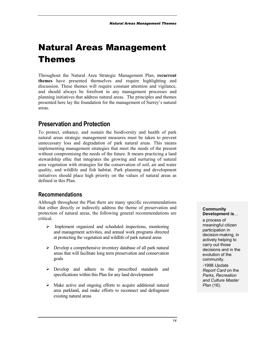# <span id="page-13-0"></span>Natural Areas Management Themes

Throughout the Natural Area Strategic Management Plan, **recurrent themes** have presented themselves and require highlighting and discussion. These themes will require constant attention and vigilance, and should always be forefront in any management processes and planning initiatives that address natural areas. The principles and themes presented here lay the foundation for the management of Surrey's natural areas.

## **Preservation and Protection**

To protect, enhance, and sustain the biodiversity and health of park natural areas strategic management measures must be taken to prevent unnecessary loss and degradation of park natural areas. This means implementing management strategies that meet the needs of the present without compromising the needs of the future. It means practicing a land stewardship ethic that integrates the growing and nurturing of natural area vegetation with strategies for the conservation of soil, air and water quality, and wildlife and fish habitat. Park planning and development initiatives should place high priority on the values of natural areas as defined in this Plan.

## **Recommendations**

Although throughout the Plan there are many specific recommendations that either directly or indirectly address the theme of preservation and protection of natural areas, the following general recommendations are critical.

- > Implement organized and scheduled inspections, monitoring and management activities, and annual work programs directed at protecting the vegetation and wildlife of park natural areas
- -Develop a comprehensive inventory database of all park natural areas that will facilitate long term preservation and conservation goals
- -Develop and adhere to the prescribed standards and specifications within this Plan for any land development
- > Make active and ongoing efforts to acquire additional natural area parkland, and make efforts to reconnect and defragment existing natural areas

#### **Community Development is**…

a process of meaningful citizen participation in decision-making, in actively helping to carry out those decisions and in the evolution of the community.

-1998 *Update Report Card* on the *Parks, Recreation and Culture Master Plan* (16).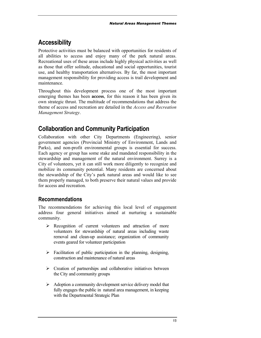## <span id="page-14-0"></span>**Accessibility**

Protective activities must be balanced with opportunities for residents of all abilities to access and enjoy many of the park natural areas. Recreational uses of these areas include highly physical activities as well as those that offer solitude, educational and social opportunities, tourist use, and healthy transportation alternatives. By far, the most important management responsibility for providing access is trail development and maintenance.

Throughout this development process one of the most important emerging themes has been **access**, for this reason it has been given its own strategic thrust. The multitude of recommendations that address the theme of access and recreation are detailed in the *Access and Recreation Management Strategy*.

## **Collaboration and Community Participation**

Collaboration with other City Departments (Engineering), senior government agencies (Provincial Ministry of Environment, Lands and Parks), and non-profit environmental groups is essential for success. Each agency or group has some stake and mandated responsibility in the stewardship and management of the natural environment. Surrey is a City of volunteers, yet it can still work more diligently to recognize and mobilize its community potential. Many residents are concerned about the stewardship of the City's park natural areas and would like to see them properly managed, to both preserve their natural values and provide for access and recreation.

## **Recommendations**

The recommendations for achieving this local level of engagement address four general initiatives aimed at nurturing a sustainable community.

- -Recognition of current volunteers and attraction of more volunteers for stewardship of natural areas including waste removal and clean-up assistance; organization of community events geared for volunteer participation
- > Facilitation of public participation in the planning, designing, construction and maintenance of natural areas
- > Creation of partnerships and collaborative initiatives between the City and community groups
- > Adoption a community development service delivery model that fully engages the public in natural area management, in keeping with the Departmental Strategic Plan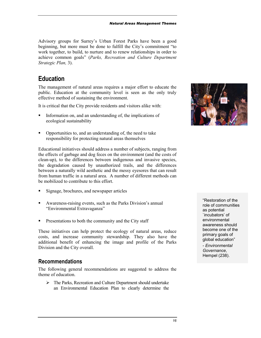<span id="page-15-0"></span>Advisory groups for Surrey's Urban Forest Parks have been a good beginning, but more must be done to fulfill the City's commitment "to work together, to build, to nurture and to renew relationships in order to achieve common goals" (*Parks, Recreation and Culture Department Strategic Plan,* 3).

## **Education**

The management of natural areas requires a major effort to educate the public. Education at the community level is seen as the only truly effective method of sustaining the environment.

It is critical that the City provide residents and visitors alike with:

- - Information on, and an understanding of, the implications of ecological sustainability
- - Opportunities to, and an understanding of, the need to take responsibility for protecting natural areas themselves

Educational initiatives should address a number of subjects, ranging from the effects of garbage and dog feces on the environment (and the costs of clean-up), to the differences between indigenous and invasive species, the degradation caused by unauthorized trails, and the differences between a naturally wild aesthetic and the messy eyesores that can result from human traffic in a natural area. A number of different methods can be mobilized to contribute to this effort.

- -Signage, brochures, and newspaper articles
- - Awareness-raising events, such as the Parks Division's annual "Environmental Extravaganza"
- **•** Presentations to both the community and the City staff

These initiatives can help protect the ecology of natural areas, reduce costs, and increase community stewardship. They also have the additional benefit of enhancing the image and profile of the Parks Division and the City overall.

## **Recommendations**

The following general recommendations are suggested to address the theme of education.

> The Parks, Recreation and Culture Department should undertake an Environmental Education Plan to clearly determine the



"Restoration of the role of communities as potential `incubators' of environmental awareness should become one of the primary goals of global education"

- *Environmental Governance*, Hempel (238).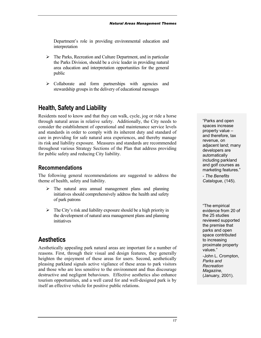<span id="page-16-0"></span>Department's role in providing environmental education and interpretation

- > The Parks, Recreation and Culture Department, and in particular the Parks Division, should be a civic leader in providing natural area education and interpretation opportunities for the general public
- > Collaborate and form partnerships with agencies and stewardship groups in the delivery of educational messages

## **Health, Safety and Liability**

Residents need to know and that they can walk, cycle, jog or ride a horse through natural areas in relative safety. Additionally, the City needs to consider the establishment of operational and maintenance service levels and standards in order to comply with its inherent duty and standard of care in providing for safe natural area experiences, and thereby manage its risk and liability exposure. Measures and standards are recommended throughout various Strategy Sections of the Plan that address providing for public safety and reducing City liability.

## **Recommendations**

The following general recommendations are suggested to address the theme of health, safety and liability.

- > The natural area annual management plans and planning initiatives should comprehensively address the health and safety of park patrons
- > The City's risk and liability exposure should be a high priority in the development of natural area management plans and planning initiatives

## **Aesthetics**

Aesthetically appealing park natural areas are important for a number of reasons. First, through their visual and design features, they generally heighten the enjoyment of these areas for users. Second, aesthetically pleasing parkland signals active vigilance of these areas to park visitors and those who are less sensitive to the environment and thus discourage destructive and negligent behaviours. Effective aesthetics also enhance tourism opportunities, and a well cared for and well-designed park is by itself an effective vehicle for positive public relations.

"Parks and open spaces increase property value – and therefore, tax revenue, on adjacent land; many developers are automatically including parkland and golf courses as marketing features." - *The Benefits*

*Catalogue*, (145).

"The empirical evidence from 20 of the 25 studies reviewed supported the premise that parks and open space contributed to increasing proximate property values."

-John L. Crompton, *Parks and Recreation Magazine*, (January, 2001).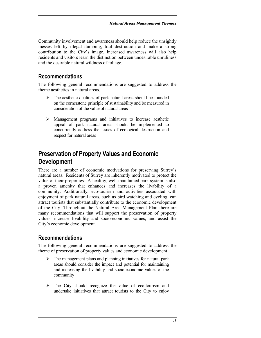<span id="page-17-0"></span>Community involvement and awareness should help reduce the unsightly messes left by illegal dumping, trail destruction and make a strong contribution to the City's image. Increased awareness will also help residents and visitors learn the distinction between undesirable unruliness and the desirable natural wildness of foliage.

## **Recommendations**

The following general recommendations are suggested to address the theme aesthetics in natural areas.

- > The aesthetic qualities of park natural areas should be founded on the cornerstone principle of sustainability and be measured in consideration of the value of natural areas
- -Management programs and initiatives to increase aesthetic appeal of park natural areas should be implemented to concurrently address the issues of ecological destruction and respect for natural areas

## **Preservation of Property Values and Economic Development**

There are a number of economic motivations for preserving Surrey's natural areas. Residents of Surrey are inherently motivated to protect the value of their properties. A healthy, well-maintained park system is also a proven amenity that enhances and increases the livability of a community. Additionally, eco-tourism and activities associated with enjoyment of park natural areas, such as bird watching and cycling, can attract tourists that substantially contribute to the economic development of the City. Throughout the Natural Area Management Plan there are many recommendations that will support the preservation of property values, increase livability and socio-economic values, and assist the City's economic development.

## **Recommendations**

The following general recommendations are suggested to address the theme of preservation of property values and economic development.

- > The management plans and planning initiatives for natural park areas should consider the impact and potential for maintaining and increasing the livability and socio-economic values of the community
- > The City should recognize the value of eco-tourism and undertake initiatives that attract tourists to the City to enjoy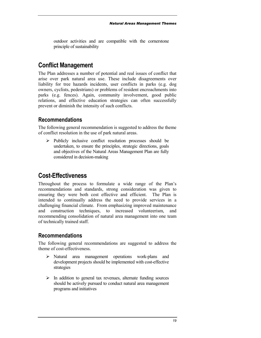<span id="page-18-0"></span>outdoor activities and are compatible with the cornerstone principle of sustainability

## **Conflict Management**

The Plan addresses a number of potential and real issues of conflict that arise over park natural area use. These include disagreements over liability for tree hazards incidents, user conflicts in parks (e.g. dog owners, cyclists, pedestrians) or problems of resident encroachments into parks (e.g. fences). Again, community involvement, good public relations, and effective education strategies can often successfully prevent or diminish the intensity of such conflicts.

## **Recommendations**

The following general recommendation is suggested to address the theme of conflict resolution in the use of park natural areas.

-Publicly inclusive conflict resolution processes should be undertaken, to ensure the principles, strategic directions, goals and objectives of the Natural Areas Management Plan are fully considered in decision-making

## **Cost-Effectiveness**

Throughout the process to formulate a wide range of the Plan's recommendations and standards, strong consideration was given to ensuring they were both cost effective and efficient. The Plan is intended to continually address the need to provide services in a challenging financial climate. From emphasizing improved maintenance and construction techniques, to increased volunteerism, and recommending consolidation of natural area management into one team of technically trained staff.

## **Recommendations**

The following general recommendations are suggested to address the theme of cost-effectiveness.

- -Natural area management operations work-plans and development projects should be implemented with cost-effective strategies
- -In addition to general tax revenues, alternate funding sources should be actively pursued to conduct natural area management programs and initiatives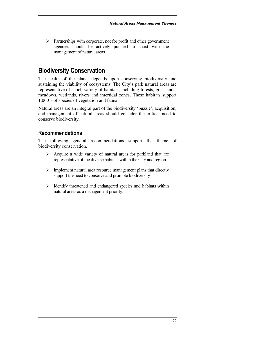<span id="page-19-0"></span>-Partnerships with corporate, not for profit and other government agencies should be actively pursued to assist with the management of natural areas

## **Biodiversity Conservation**

The health of the planet depends upon conserving biodiversity and sustaining the viability of ecosystems. The City's park natural areas are representative of a rich variety of habitats, including forests, grasslands, meadows, wetlands, rivers and intertidal zones. These habitats support 1,000's of species of vegetation and fauna.

Natural areas are an integral part of the biodiversity 'puzzle', acquisition, and management of natural areas should consider the critical need to conserve biodiversity.

## **Recommendations**

The following general recommendations support the theme of biodiversity conservation.

- > Acquire a wide variety of natural areas for parkland that are representative of the diverse habitats within the City and region
- > Implement natural area resource management plans that directly support the need to conserve and promote biodiversity
- > Identify threatened and endangered species and habitats within natural areas as a management priority.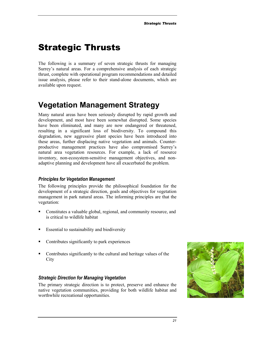# <span id="page-20-0"></span>Strategic Thrusts

The following is a summary of seven strategic thrusts for managing Surrey's natural areas. For a comprehensive analysis of each strategic thrust, complete with operational program recommendations and detailed issue analysis, please refer to their stand-alone documents, which are available upon request.

# **Vegetation Management Strategy**

Many natural areas have been seriously disrupted by rapid growth and development, and most have been somewhat disrupted. Some species have been eliminated, and many are now endangered or threatened, resulting in a significant loss of biodiversity. To compound this degradation, new aggressive plant species have been introduced into these areas, further displacing native vegetation and animals. Counterproductive management practices have also compromised Surrey's natural area vegetation resources. For example, a lack of resource inventory, non-ecosystem-sensitive management objectives, and nonadaptive planning and development have all exacerbated the problem.

## *Principles for Vegetation Management*

The following principles provide the philosophical foundation for the development of a strategic direction, goals and objectives for vegetation management in park natural areas. The informing principles are that the vegetation:

- - Constitutes a valuable global, regional, and community resource, and is critical to wildlife habitat
- **Essential to sustainability and biodiversity**
- Contributes significantly to park experiences
- Contributes significantly to the cultural and heritage values of the City

## *Strategic Direction for Managing Vegetation*

The primary strategic direction is to protect, preserve and enhance the native vegetation communities, providing for both wildlife habitat and worthwhile recreational opportunities.

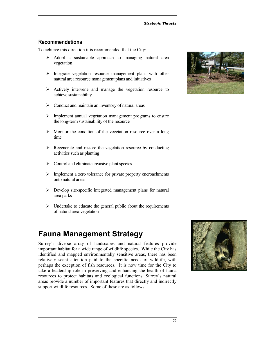## <span id="page-21-0"></span>**Recommendations**

To achieve this direction it is recommended that the City:

- > Adopt a sustainable approach to managing natural area vegetation
- > Integrate vegetation resource management plans with other natural area resource management plans and initiatives
- -Actively intervene and manage the vegetation resource to achieve sustainability
- > Conduct and maintain an inventory of natural areas
- > Implement annual vegetation management programs to ensure the long-term sustainability of the resource
- > Monitor the condition of the vegetation resource over a long time
- > Regenerate and restore the vegetation resource by conducting activities such as planting
- > Control and eliminate invasive plant species
- > Implement a zero tolerance for private property encroachments onto natural areas
- -Develop site-specific integrated management plans for natural area parks
- > Undertake to educate the general public about the requirements of natural area vegetation

# **Fauna Management Strategy**

Surrey's diverse array of landscapes and natural features provide important habitat for a wide range of wildlife species. While the City has identified and mapped environmentally sensitive areas, there has been relatively scant attention paid to the specific needs of wildlife, with perhaps the exception of fish resources. It is now time for the City to take a leadership role in preserving and enhancing the health of fauna resources to protect habitats and ecological functions. Surrey's natural areas provide a number of important features that directly and indirectly support wildlife resources. Some of these are as follows:



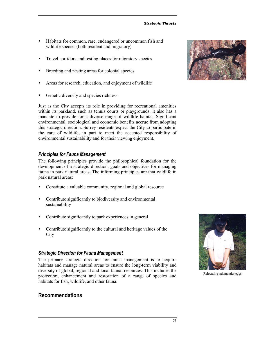#### *Strategic Thrusts*

- - Habitats for common, rare, endangered or uncommon fish and wildlife species (both resident and migratory)
- -Travel corridors and resting places for migratory species
- -Breeding and nesting areas for colonial species
- -Areas for research, education, and enjoyment of wildlife
- -Genetic diversity and species richness

Just as the City accepts its role in providing for recreational amenities within its parkland, such as tennis courts or playgrounds, it also has a mandate to provide for a diverse range of wildlife habitat. Significant environmental, sociological and economic benefits accrue from adopting this strategic direction. Surrey residents expect the City to participate in the care of wildlife, in part to meet the accepted responsibility of environmental sustainability and for their viewing enjoyment.

#### *Principles for Fauna Management*

The following principles provide the philosophical foundation for the development of a strategic direction, goals and objectives for managing fauna in park natural areas. The informing principles are that wildlife in park natural areas:

- -Constitute a valuable community, regional and global resource
- **•** Contribute significantly to biodiversity and environmental sustainability
- -Contribute significantly to park experiences in general
- - Contribute significantly to the cultural and heritage values of the **City**

#### *Strategic Direction for Fauna Management*

The primary strategic direction for fauna management is to acquire habitats and manage natural areas to ensure the long-term viability and diversity of global, regional and local faunal resources. This includes the protection, enhancement and restoration of a range of species and habitats for fish, wildlife, and other fauna.

## **Recommendations**



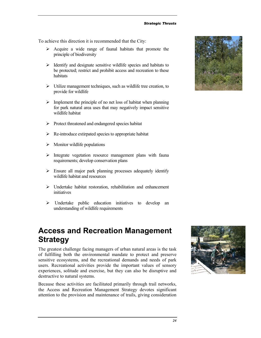<span id="page-23-0"></span>To achieve this direction it is recommended that the City:

- > Acquire a wide range of faunal habitats that promote the principle of biodiversity
- > Identify and designate sensitive wildlife species and habitats to be protected; restrict and prohibit access and recreation to these habitats
- -Utilize management techniques, such as wildlife tree creation, to provide for wildlife
- > Implement the principle of no net loss of habitat when planning for park natural area uses that may negatively impact sensitive wildlife habitat
- -Protect threatened and endangered species habitat
- -Re-introduce extirpated species to appropriate habitat
- > Monitor wildlife populations
- -Integrate vegetation resource management plans with fauna requirements; develop conservation plans
- -Ensure all major park planning processes adequately identify wildlife habitat and resources
- -Undertake habitat restoration, rehabilitation and enhancement initiatives
- > Undertake public education initiatives to develop an understanding of wildlife requirements

## **Access and Recreation Management Strategy**

The greatest challenge facing managers of urban natural areas is the task of fulfilling both the environmental mandate to protect and preserve sensitive ecosystems, and the recreational demands and needs of park users. Recreational activities provide the important values of sensory experiences, solitude and exercise, but they can also be disruptive and destructive to natural systems.

Because these activities are facilitated primarily through trail networks, the Access and Recreation Management Strategy devotes significant attention to the provision and maintenance of trails, giving consideration



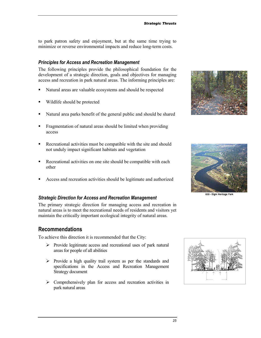to park patron safety and enjoyment, but at the same time trying to minimize or reverse environmental impacts and reduce long-term costs.

#### *Principles for Access and Recreation Management*

The following principles provide the philosophical foundation for the development of a strategic direction, goals and objectives for managing access and recreation in park natural areas. The informing principles are:

- -Natural areas are valuable ecosystems and should be respected
- -Wildlife should be protected
- -Natural area parks benefit of the general public and should be shared
- Fragmentation of natural areas should be limited when providing access
- - Recreational activities must be compatible with the site and should not unduly impact significant habitats and vegetation
- - Recreational activities on one site should be compatible with each other
- -Access and recreation activities should be legitimate and authorized

#### *Strategic Direction for Access and Recreation Management*

The primary strategic direction for managing access and recreation in natural areas is to meet the recreational needs of residents and visitors yet maintain the critically important ecological integrity of natural areas.

## **Recommendations**

To achieve this direction it is recommended that the City:

- -Provide legitimate access and recreational uses of park natural areas for people of all abilities
- > Provide a high quality trail system as per the standards and specifications in the Access and Recreation Management Strategy document
- > Comprehensively plan for access and recreation activities in park natural areas





020 - Elgin Heritage Park

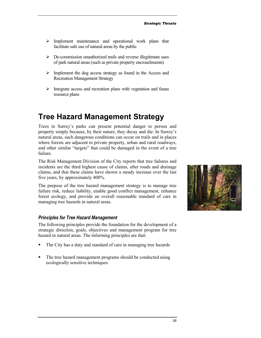- <span id="page-25-0"></span>> Implement maintenance and operational work plans that facilitate safe use of natural areas by the public
- -De-commission unauthorized trails and reverse illegitimate uses of park natural areas (such as private property encroachments)
- > Implement the dog access strategy as found in the Access and Recreation Management Strategy
- -Integrate access and recreation plans with vegetation and fauna resource plans

## **Tree Hazard Management Strategy**

Trees in Surrey's parks can present potential danger to person and property simply because, by their nature, they decay and die. In Surrey's natural areas, such dangerous conditions can occur on trails and in places where forests are adjacent to private property, urban and rural roadways, and other similar "targets" that could be damaged in the event of a tree failure.

The Risk Management Division of the City reports that tree failures and incidents are the third highest cause of claims, after roads and drainage claims, and that these claims have shown a steady increase over the last five years, by approximately 400%.

The purpose of the tree hazard management strategy is to manage tree failure risk, reduce liability, enable good conflict management, enhance forest ecology, and provide an overall reasonable standard of care in managing tree hazards in natural areas.

#### *Principles for Tree Hazard Management*

The following principles provide the foundation for the development of a strategic direction, goals, objectives and management program for tree hazard in natural areas. The informing principles are that:

- -The City has a duty and standard of care in managing tree hazards
- - The tree hazard management programs should be conducted using ecologically sensitive techniques

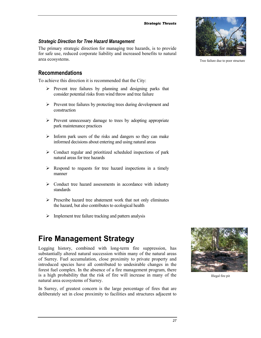#### *Strategic Thrusts*

## <span id="page-26-0"></span>*Strategic Direction for Tree Hazard Management*

The primary strategic direction for managing tree hazards, is to provide for safe use, reduced corporate liability and increased benefits to natural area ecosystems.

## **Recommendations**

To achieve this direction it is recommended that the City:

- -Prevent tree failures by planning and designing parks that consider potential risks from wind throw and tree failure
- -Prevent tree failures by protecting trees during development and construction
- -Prevent unnecessary damage to trees by adopting appropriate park maintenance practices
- > Inform park users of the risks and dangers so they can make informed decisions about entering and using natural areas
- > Conduct regular and prioritized scheduled inspections of park natural areas for tree hazards
- > Respond to requests for tree hazard inspections in a timely manner
- > Conduct tree hazard assessments in accordance with industry standards
- -Prescribe hazard tree abatement work that not only eliminates the hazard, but also contributes to ecological health
- > Implement tree failure tracking and pattern analysis

# **Fire Management Strategy**

Logging history, combined with long-term fire suppression, has substantially altered natural succession within many of the natural areas of Surrey. Fuel accumulation, close proximity to private property and introduced species have all contributed to undesirable changes in the forest fuel complex. In the absence of a fire management program, there is a high probability that the risk of fire will increase in many of the natural area ecosystems of Surrey.

In Surrey, of greatest concern is the large percentage of fires that are deliberately set in close proximity to facilities and structures adjacent to



Illegal fire pit



Tree failure due to poor structure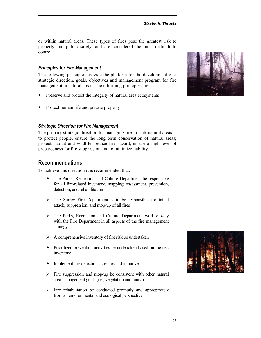or within natural areas. These types of fires pose the greatest risk to property and public safety, and are considered the most difficult to control.

#### *Principles for Fire Management*

The following principles provide the platform for the development of a strategic direction, goals, objectives and management program for fire management in natural areas: The informing principles are:

- -Preserve and protect the integrity of natural area ecosystems
- Protect human life and private property

#### *Strategic Direction for Fire Management*

The primary strategic direction for managing fire in park natural areas is to protect people, ensure the long term conservation of natural areas; protect habitat and wildlife; reduce fire hazard; ensure a high level of preparedness for fire suppression and to minimize liability.

## **Recommendations**

To achieve this direction it is recommended that:

- > The Parks, Recreation and Culture Department be responsible for all fire-related inventory, mapping, assessment, prevention, detection, and rehabilitation
- > The Surrey Fire Department is to be responsible for initial attack, suppression, and mop-up of all fires
- > The Parks, Recreation and Culture Department work closely with the Fire Department in all aspects of the fire management strategy
- A comprehensive inventory of fire risk be undertaken
- > Prioritized prevention activities be undertaken based on the risk inventory
- > Implement fire detection activities and initiatives
- Fire suppression and mop-up be consistent with other natural area management goals (i.e., vegetation and fauna)
- > Fire rehabilitation be conducted promptly and appropriately from an environmental and ecological perspective



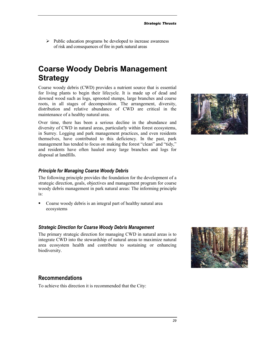*29*

<span id="page-28-0"></span>> Public education programs be developed to increase awareness of risk and consequences of fire in park natural areas

# **Coarse Woody Debris Management Strategy**

Coarse woody debris (CWD) provides a nutrient source that is essential for living plants to begin their lifecycle. It is made up of dead and downed wood such as logs, uprooted stumps, large branches and coarse roots, in all stages of decomposition. The arrangement, diversity, distribution and relative abundance of CWD are critical in the maintenance of a healthy natural area.

Over time, there has been a serious decline in the abundance and diversity of CWD in natural areas, particularly within forest ecosystems, in Surrey. Logging and park management practices, and even residents themselves, have contributed to this deficiency. In the past, park management has tended to focus on making the forest "clean" and "tidy," and residents have often hauled away large branches and logs for disposal at landfills.

## *Principle for Managing Coarse Woody Debris*

The following principle provides the foundation for the development of a strategic direction, goals, objectives and management program for coarse woody debris management in park natural areas: The informing principle is:

• Coarse woody debris is an integral part of healthy natural area ecosystems

## *Strategic Direction for Coarse Woody Debris Management*

The primary strategic direction for managing CWD in natural areas is to integrate CWD into the stewardship of natural areas to maximize natural area ecosystem health and contribute to sustaining or enhancing biodiversity.

## **Recommendations**

To achieve this direction it is recommended that the City:



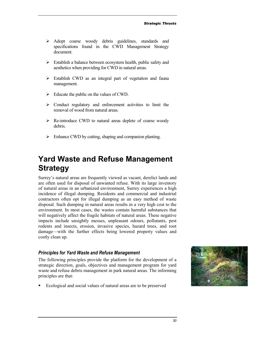- <span id="page-29-0"></span>> Adopt coarse woody debris guidelines, standards and specifications found in the CWD Management Strategy document.
- > Establish a balance between ecosystem health, public safety and aesthetics when providing for CWD in natural areas.
- > Establish CWD as an integral part of vegetation and fauna management.
- Educate the public on the values of CWD.
- > Conduct regulatory and enforcement activities to limit the removal of wood from natural areas.
- > Re-introduce CWD to natural areas deplete of coarse woody debris.
- > Enhance CWD by cutting, shaping and companion planting.

# **Yard Waste and Refuse Management Strategy**

Surrey's natural areas are frequently viewed as vacant, derelict lands and are often used for disposal of unwanted refuse. With its large inventory of natural areas in an urbanized environment, Surrey experiences a high incidence of illegal dumping. Residents and commercial and industrial contractors often opt for illegal dumping as an easy method of waste disposal. Such dumping in natural areas results in a very high cost to the environment. In most cases, the wastes contain harmful substances that will negatively affect the fragile habitats of natural areas. These negative impacts include unsightly messes, unpleasant odours, pollutants, pest rodents and insects, erosion, invasive species, hazard trees, and root damage—with the further effects being lowered property values and costly clean up.

#### *Principles for Yard Waste and Refuse Management*

The following principles provide the platform for the development of a strategic direction, goals, objectives and management program for yard waste and refuse debris management in park natural areas. The informing principles are that:

- Ecological and social values of natural areas are to be preserved

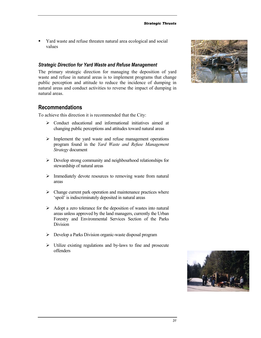- Yard waste and refuse threaten natural area ecological and social values

#### *Strategic Direction for Yard Waste and Refuse Management*

The primary strategic direction for managing the deposition of yard waste and refuse in natural areas is to implement programs that change public perception and attitude to reduce the incidence of dumping in natural areas and conduct activities to reverse the impact of dumping in natural areas.

## **Recommendations**

To achieve this direction it is recommended that the City:

- -Conduct educational and informational initiatives aimed at changing public perceptions and attitudes toward natural areas
- > Implement the yard waste and refuse management operations program found in the *Yard Waste and Refuse Management Strategy* document
- -Develop strong community and neighbourhood relationships for stewardship of natural areas
- > Immediately devote resources to removing waste from natural areas
- > Change current park operation and maintenance practices where 'spoil' is indiscriminately deposited in natural areas
- > Adopt a zero tolerance for the deposition of wastes into natural areas unless approved by the land managers, currently the Urban Forestry and Environmental Services Section of the Parks Division
- -Develop a Parks Division organic-waste disposal program
- > Utilize existing regulations and by-laws to fine and prosecute offenders



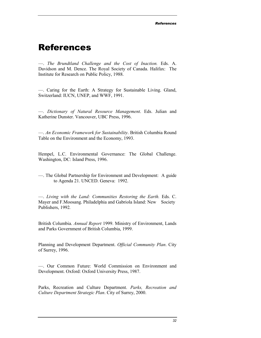# <span id="page-31-0"></span>References

—. *The Brundtland Challenge and the Cost of Inaction.* Eds. A. Davidson and M. Dence. The Royal Society of Canada. Halifax: The Institute for Research on Public Policy, 1988.

—. Caring for the Earth: A Strategy for Sustainable Living. Gland, Switzerland: IUCN, UNEP, and WWF, 1991.

—*. Dictionary of Natural Resource Management*. Eds. Julian and Katherine Dunster. Vancouver, UBC Press, 1996.

—. *An Economic Framework for Sustainability*. British Columbia Round Table on the Environment and the Economy, 1993.

Hempel, L.C. Environmental Governance: The Global Challenge. Washington, DC: Island Press, 1996.

—. The Global Partnership for Environment and Development: A guide to Agenda 21. UNCED. Geneva: 1992.

—. *Living with the Land: Communities Restoring the Earth.* Eds. C. Mayer and F.Moosang. Philadelphia and Gabriola Island: New Society Publishers, 1992*.* 

British Columbia. *Annual Report* 1999. Ministry of Environment, Lands and Parks Government of British Columbia, 1999.

Planning and Development Department. *Official Community Plan*. City of Surrey, 1996.

—. Our Common Future: World Commission on Environment and Development. Oxford: Oxford University Press, 1987.

Parks, Recreation and Culture Department. *Parks, Recreation and Culture Department Strategic Plan*. City of Surrey, 2000.